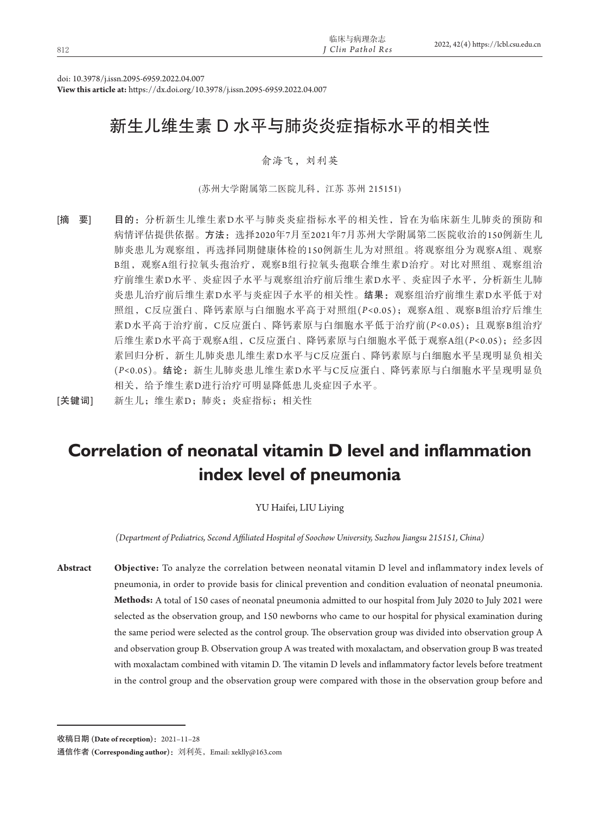| 812 | 临床与病理杂志<br><sup>T</sup> Clin Pathol Res | 2022, 42(4) https://lcbl.csu.edu.cn |
|-----|-----------------------------------------|-------------------------------------|
|     |                                         |                                     |

doi: 10.3978/j.issn.2095-6959.2022.04.007

**View this article at:** https://dx.doi.org/10.3978/j.issn.2095-6959.2022.04.007

# 新生儿维生素 D 水平与肺炎炎症指标水平的相关性

## 俞海飞,刘利英

(苏州大学附属第二医院儿科,江苏 苏州 215151)

[摘 要] 目的: 分析新生儿维生素D水平与肺炎炎症指标水平的相关性, 旨在为临床新生儿肺炎的预防和 病情评估提供依据。方法:选择2020年7月至2021年7月苏州大学附属第二医院收治的150例新生儿 肺炎患儿为观察组,再选择同期健康体检的150例新生儿为对照组。将观察组分为观察A组、观察 B组,观察A组行拉氧头孢治疗,观察B组行拉氧头孢联合维生素D治疗。对比对照组、观察组治 疗前维生素D水平、炎症因子水平与观察组治疗前后维生素D水平、炎症因子水平,分析新生儿肺 炎患儿治疗前后维生素D水平与炎症因子水平的相关性。结果:观察组治疗前维生素D水平低于对 照组,C反应蛋白、降钙素原与白细胞水平高于对照组(*P<*0.05);观察A组、观察B组治疗后维生 素D水平高于治疗前, C反应蛋白、降钙素原与白细胞水平低于治疗前(P<0.05);且观察B组治疗 后维生素D水平高于观察A组,C反应蛋白、降钙素原与白细胞水平低于观察A组(*P<*0.05);经多因 素回归分析,新生儿肺炎患儿维生素D水平与C反应蛋白、降钙素原与白细胞水平呈现明显负相关 (*P<*0.05)。结论:新生儿肺炎患儿维生素D水平与C反应蛋白、降钙素原与白细胞水平呈现明显负 相关,给予维生素D进行治疗可明显降低患儿炎症因子水平。

[关键词] 新生儿; 维生素D; 肺炎; 炎症指标; 相关性

# **Correlation of neonatal vitamin D level and inflammation index level of pneumonia**

YU Haifei, LIU Liying

*(Department of Pediatrics, Second Affiliated Hospital of Soochow University, Suzhou Jiangsu 215151, China)*

**Abstract Objective:** To analyze the correlation between neonatal vitamin D level and inflammatory index levels of pneumonia, in order to provide basis for clinical prevention and condition evaluation of neonatal pneumonia. **Methods:** A total of 150 cases of neonatal pneumonia admitted to our hospital from July 2020 to July 2021 were selected as the observation group, and 150 newborns who came to our hospital for physical examination during the same period were selected as the control group. The observation group was divided into observation group A and observation group B. Observation group A was treated with moxalactam, and observation group B was treated with moxalactam combined with vitamin D. The vitamin D levels and inflammatory factor levels before treatment in the control group and the observation group were compared with those in the observation group before and

收稿日期 **(Date of reception)**:2021–11–28

通信作者 **(Corresponding author)**:刘利英,Email: xeklly@163.com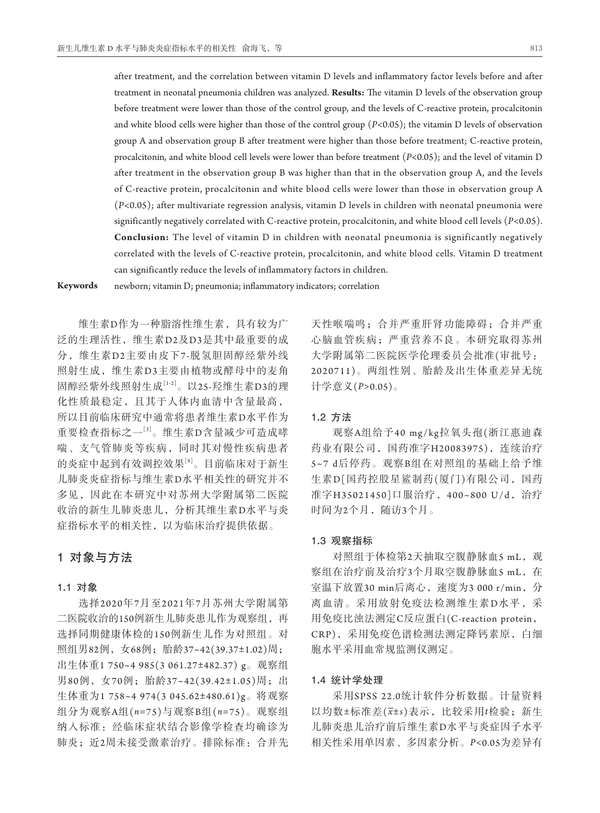after treatment, and the correlation between vitamin D levels and inflammatory factor levels before and after treatment in neonatal pneumonia children was analyzed. **Results:** The vitamin D levels of the observation group before treatment were lower than those of the control group, and the levels of C-reactive protein, procalcitonin and white blood cells were higher than those of the control group (*P<*0.05); the vitamin D levels of observation group A and observation group B after treatment were higher than those before treatment; C-reactive protein, procalcitonin, and white blood cell levels were lower than before treatment (*P<*0.05); and the level of vitamin D after treatment in the observation group B was higher than that in the observation group A, and the levels of C-reactive protein, procalcitonin and white blood cells were lower than those in observation group A (*P<*0.05); after multivariate regression analysis, vitamin D levels in children with neonatal pneumonia were significantly negatively correlated with C-reactive protein, procalcitonin, and white blood cell levels (*P<*0.05). **Conclusion:** The level of vitamin D in children with neonatal pneumonia is significantly negatively correlated with the levels of C-reactive protein, procalcitonin, and white blood cells. Vitamin D treatment can significantly reduce the levels of inflammatory factors in children.

**Keywords** newborn; vitamin D; pneumonia; inflammatory indicators; correlation

维生素D作为一种脂溶性维生素,具有较为广 泛的生理活性,维生素D2及D3是其中最重要的成 分,维生素D2主要由皮下7-脱氢胆固醇经紫外线 照射生成,维生素D3主要由植物或酵母中的麦角 固醇经紫外线照射生成[1-2]。以25-羟维生素D3的理 化性质最稳定,且其于人体内血清中含量最高, 所以目前临床研究中通常将患者维生素D水平作为 重要检查指标之一[3]。维生素D含量减少可造成哮 喘、支气管肺炎等疾病,同时其对慢性疾病患者 的炎症中起到有效调控效果[4]。目前临床对于新生 儿肺炎炎症指标与维生素D水平相关性的研究并不 多见,因此在本研究中对苏州大学附属第二医院 收治的新生儿肺炎患儿,分析其维生素D水平与炎 症指标水平的相关性,以为临床治疗提供依据。

# 1对象与方法

#### 1**.**1对象

选择2020年7月至2021年7月苏州大学附属第 二医院收治的150例新生儿肺炎患儿作为观察组,再 选择同期健康体检的150例新生儿作为对照组。对 照组男82例, 女68例; 胎龄37~42(39.37±1.02)周; 出生体重1 750~4 985(3 061.27±482.37) g。观察组 男80例, 女70例; 胎龄37~42(39.42±1.05)周; 出 生体重为1 758~4 974(3 045.62±480.61)g。将观察 组分为观察A组(*n=*75)与观察B组(*n=*75)。观察组 纳入标准:经临床症状结合影像学检查均确诊为 肺炎;近2周未接受激素治疗。排除标准:合并先

天性喉喘鸣;合并严重肝肾功能障碍;合并严重 心脑血管疾病;严重营养不良。本研究取得苏州 大学附属第二医院医学伦理委员会批准(审批号: 2020711)。两组性别、胎龄及出生体重差异无统 计学意义(*P>*0.05)。

### 1**.**2方法

观察A组给予40 mg/kg拉氧头孢(浙江惠迪森 药业有限公司, 国药准字H20083975), 连续治疗 5~7 d后停药。观察B组在对照组的基础上给予维 生素D[国药控股星鲨制药(厦门)有限公司, 国药 准字H35021450]口服治疗, 400~800 U/d, 治疗 时间为2个月,随访3个月。

### 1**.**3观察指标

对照组于体检第2天抽取空腹静脉血5 mL, 观 察组在治疗前及治疗3个月取空腹静脉血5 mL, 在 室温下放置30 min后离心,速度为3 000 r/min, 分 离血清。采用放射免疫法检测维生素D水平,采 用免疫比浊法测定C反应蛋白(C-reaction protein, CRP),采用免疫色谱检测法测定降钙素原,白细 胞水平采用血常规监测仪测定。

#### 1**.**4统计学处理

采用SPSS 22.0统计软件分析数据。计量资料 以均数±标准差(*x*±*s*)表示,比较采用*t*检验;新生 儿肺炎患儿治疗前后维生素D水平与炎症因子水平 相关性采用单因素、多因素分析。*P<*0.05为差异有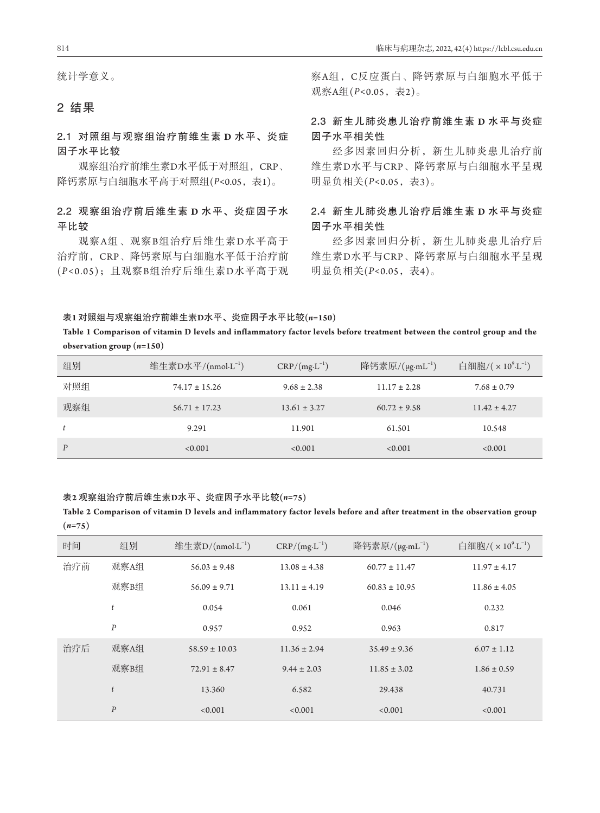统计学意义。

# 2结果

2**.**1对照组与观察组治疗前维生素 **D** 水平、炎症 因子水平比较

观察组治疗前维生素D水平低于对照组,CRP、 降钙素原与白细胞水平高于对照组(*P<*0.05,表1)。

# 2**.**2观察组治疗前后维生素 **D** 水平、炎症因子水 平比较

观察A组、观察B组治疗后维生素D水平高于 治疗前,CRP、降钙素原与白细胞水平低于治疗前 (*P<*0.05);且观察B组治疗后维生素D水平高于观 察A组,C反应蛋白、降钙素原与白细胞水平低于 观察A组(*P<*0.05,表2)。

# 2**.**3新生儿肺炎患儿治疗前维生素 **D** 水平与炎症 因子水平相关性

经多因素回归分析,新生儿肺炎患儿治疗前 维生素D水平与CRP、降钙素原与白细胞水平呈现 明显负相关(*P<*0.05,表3)。

# 2**.**4新生儿肺炎患儿治疗后维生素 **D** 水平与炎症 因子水平相关性

经多因素回归分析,新生儿肺炎患儿治疗后 维生素D水平与CRP、降钙素原与白细胞水平呈现 明显负相关(*P<*0.05,表4)。

表**1** 对照组与观察组治疗前维生素**D**水平、炎症因子水平比较**(***n=***150)**

## **Table 1 Comparison of vitamin D levels and inflammatory factor levels before treatment between the control group and the observation group (***n=***150)**

| 组别  | 维生素D水平/(nmol·L <sup>-1</sup> ) | $CRP/(mg \cdot L^{-1})$ | 降钙素原/(μg·mL <sup>-1</sup> ) | 白细胞/ $(\times 10^{9} \text{L}^{-1})$ |
|-----|--------------------------------|-------------------------|-----------------------------|--------------------------------------|
| 对照组 | $74.17 \pm 15.26$              | $9.68 \pm 2.38$         | $11.17 \pm 2.28$            | $7.68 \pm 0.79$                      |
| 观察组 | $56.71 \pm 17.23$              | $13.61 \pm 3.27$        | $60.72 \pm 9.58$            | $11.42 \pm 4.27$                     |
| t   | 9.291                          | 11.901                  | 61.501                      | 10.548                               |
| P   | < 0.001                        | < 0.001                 | < 0.001                     | < 0.001                              |

### 表**2** 观察组治疗前后维生素**D**水平、炎症因子水平比较**(***n=***75)**

**Table 2 Comparison of vitamin D levels and inflammatory factor levels before and after treatment in the observation group (***n=***75)**

| 时间  | 组别               | 维生素 $D/(nmol \cdot L^{-1})$ | $CRP/(mg \cdot L^{-1})$ | 降钙素原/ $(\mu$ g·mL <sup>-1</sup> ) | 白细胞/ $(x 10^{9} L^{-1})$ |
|-----|------------------|-----------------------------|-------------------------|-----------------------------------|--------------------------|
| 治疗前 | 观察A组             | $56.03 \pm 9.48$            | $13.08 \pm 4.38$        | $60.77 \pm 11.47$                 | $11.97 \pm 4.17$         |
|     | 观察B组             | $56.09 \pm 9.71$            | $13.11 \pm 4.19$        | $60.83 \pm 10.95$                 | $11.86 \pm 4.05$         |
|     | $\boldsymbol{t}$ | 0.054                       | 0.061                   | 0.046                             | 0.232                    |
|     | $\boldsymbol{P}$ | 0.957                       | 0.952                   | 0.963                             | 0.817                    |
| 治疗后 | 观察A组             | $58.59 \pm 10.03$           | $11.36 \pm 2.94$        | $35.49 \pm 9.36$                  | $6.07 \pm 1.12$          |
|     | 观察B组             | $72.91 \pm 8.47$            | $9.44 \pm 2.03$         | $11.85 \pm 3.02$                  | $1.86 \pm 0.59$          |
|     | t                | 13.360                      | 6.582                   | 29.438                            | 40.731                   |
|     | $\boldsymbol{P}$ | < 0.001                     | < 0.001                 | < 0.001                           | < 0.001                  |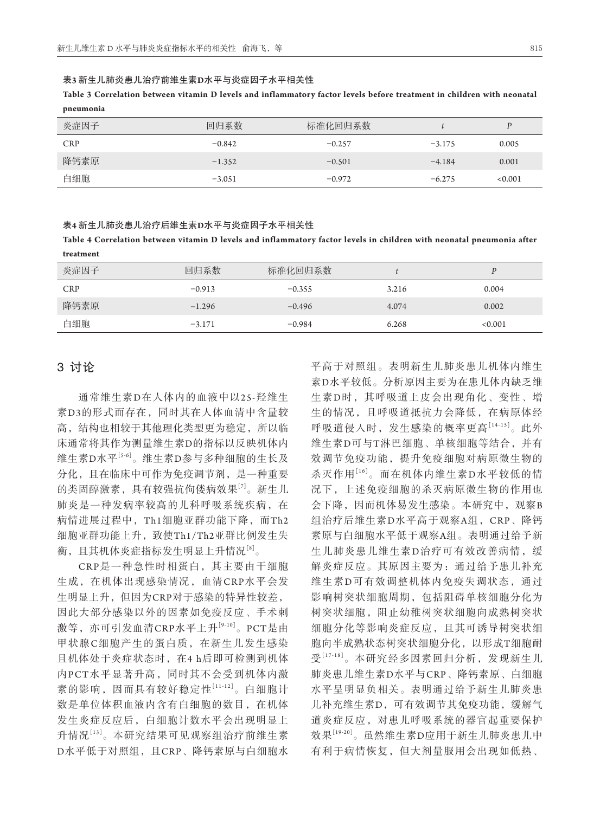#### 表**3** 新生儿肺炎患儿治疗前维生素**D**水平与炎症因子水平相关性

**Table 3 Correlation between vitamin D levels and inflammatory factor levels before treatment in children with neonatal pneumonia**

| 炎症因子       | 回归系数     | 标准化回归系数  |          | D       |
|------------|----------|----------|----------|---------|
| <b>CRP</b> | $-0.842$ | $-0.257$ | $-3.175$ | 0.005   |
| 降钙素原       | $-1.352$ | $-0.501$ | $-4.184$ | 0.001   |
| 白细胞        | $-3.051$ | $-0.972$ | $-6.275$ | < 0.001 |

#### 表**4** 新生儿肺炎患儿治疗后维生素**D**水平与炎症因子水平相关性

**Table 4 Correlation between vitamin D levels and inflammatory factor levels in children with neonatal pneumonia after treatment**

| 炎症因子       | 回归系数     | 标准化回归系数  |       |         |
|------------|----------|----------|-------|---------|
| <b>CRP</b> | $-0.913$ | $-0.355$ | 3.216 | 0.004   |
| 降钙素原       | $-1.296$ | $-0.496$ | 4.074 | 0.002   |
| 白细胞        | $-3.171$ | $-0.984$ | 6.268 | < 0.001 |

# 3讨论

通常维生素D在人体内的血液中以25-羟维生 素D3的形式而存在,同时其在人体血清中含量较 高,结构也相较于其他理化类型更为稳定,所以临 床通常将其作为测量维生素D的指标以反映机体内 维生素D水平[5-6]。维生素D参与多种细胞的生长及 分化,且在临床中可作为免疫调节剂,是一种重要 的类固醇激素,具有较强抗佝偻病效果[7]。新生儿 肺炎是一种发病率较高的儿科呼吸系统疾病,在 病情进展过程中,Th1细胞亚群功能下降,而Th2 细胞亚群功能上升,致使Th1/Th2亚群比例发生失 衡,且其机体炎症指标发生明显上升情况[8]。

CRP是一种急性时相蛋白,其主要由干细胞 生成,在机体出现感染情况,血清CRP水平会发 生明显上升,但因为CRP对于感染的特异性较差, 因此大部分感染以外的因素如免疫反应、手术刺 激等,亦可引发血清CRP水平上升[9-10]。PCT是由 甲状腺C细胞产生的蛋白质,在新生儿发生感染 且机体处于炎症状态时,在4 h后即可检测到机体 内PCT水平显著升高,同时其不会受到机体内激 素的影响,因而具有较好稳定性[11-12]。白细胞计 数是单位体积血液内含有白细胞的数目,在机体 发生炎症反应后,白细胞计数水平会出现明显上 升情况[13]。本研究结果可见观察组治疗前维生素 D水平低于对照组,且CRP、降钙素原与白细胞水 平高于对照组。表明新生儿肺炎患儿机体内维生 素D水平较低。分析原因主要为在患儿体内缺乏维 生素D时,其呼吸道上皮会出现角化、变性、增 生的情况,且呼吸道抵抗力会降低,在病原体经 呼吸道侵入时,发生感染的概率更高[14-15]。此外 维生素D可与T淋巴细胞、单核细胞等结合,并有 效调节免疫功能,提升免疫细胞对病原微生物的 杀灭作用[16]。而在机体内维生素D水平较低的情 况下,上述免疫细胞的杀灭病原微生物的作用也 会下降,因而机体易发生感染。本研究中,观察B 组治疗后维生素D水平高于观察A组,CRP、降钙 素原与白细胞水平低于观察A组。表明通过给予新 生儿肺炎患儿维生素D治疗可有效改善病情,缓 解炎症反应。其原因主要为: 通过给予患儿补充 维生素D可有效调整机体内免疫失调状态,通过 影响树突状细胞周期,包括阻碍单核细胞分化为 树突状细胞,阻止幼稚树突状细胞向成熟树突状 细胞分化等影响炎症反应,且其可诱导树突状细 胞向半成熟状态树突状细胞分化,以形成T细胞耐 受[17-18]。本研究经多因素回归分析,发现新生儿 肺炎患儿维生素D水平与CRP、降钙素原、白细胞 水平呈明显负相关。表明通过给予新生儿肺炎患 儿补充维生素D,可有效调节其免疫功能,缓解气 道炎症反应,对患儿呼吸系统的器官起重要保护 效果<sup>[19-20]</sup>。虽然维生素D应用于新生儿肺炎患儿中 有利于病情恢复,但大剂量服用会出现如低热、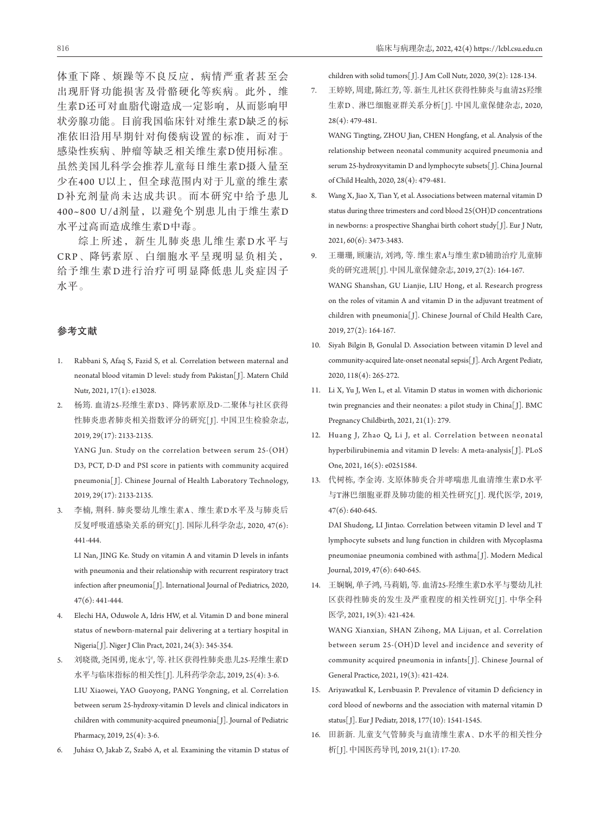体重下降、烦躁等不良反应,病情严重者甚至会 出现肝肾功能损害及骨骼硬化等疾病。此外,维 生素D还可对血脂代谢造成一定影响,从而影响甲 状旁腺功能。目前我国临床针对维生素D缺乏的标 准依旧沿用早期针对佝偻病设置的标准,而对于 感染性疾病、肿瘤等缺乏相关维生素D使用标准。 虽然美国儿科学会推荐儿童每日维生素D摄入量至 少在400 U以上,但全球范围内对于儿童的维生素 D补充剂量尚未达成共识。而本研究中给予患儿 400~800 U/d剂量,以避免个别患儿由于维生素D 水平过高而造成维生素D中毒。

综上所述,新生儿肺炎患儿维生素D水平与 CRP、降钙素原、白细胞水平呈现明显负相关, 给予维生素D进行治疗可明显降低患儿炎症因子 水平。

#### 参考文献

- 1. Rabbani S, Afaq S, Fazid S, et al. Correlation between maternal and neonatal blood vitamin D level: study from Pakistan[ J]. Matern Child Nutr, 2021, 17(1): e13028.
- 2. 杨筠. 血清25-羟维生素D3、降钙素原及D-二聚体与社区获得 性肺炎患者肺炎相关指数评分的研究[J]. 中国卫生检验杂志, 2019, 29(17): 2133-2135.

 YANG Jun. Study on the correlation between serum 25-(OH) D3, PCT, D-D and PSI score in patients with community acquired pneumonia[ J]. Chinese Journal of Health Laboratory Technology, 2019, 29(17): 2133-2135.

3. 李楠, 荆科. 肺炎婴幼儿维生素A、维生素D水平及与肺炎后 反复呼吸道感染关系的研究[ J]. 国际儿科学杂志, 2020, 47(6): 441-444.

 LI Nan, JING Ke. Study on vitamin A and vitamin D levels in infants with pneumonia and their relationship with recurrent respiratory tract infection after pneumonia[ J]. International Journal of Pediatrics, 2020, 47(6): 441-444.

- 4. Elechi HA, Oduwole A, Idris HW, et al. Vitamin D and bone mineral status of newborn-maternal pair delivering at a tertiary hospital in Nigeria[ J]. Niger J Clin Pract, 2021, 24(3): 345-354.
- 5. 刘晓微, 尧国勇, 庞永宁, 等. 社区获得性肺炎患儿25-羟维生素D 水平与临床指标的相关性[J]. 儿科药学杂志, 2019, 25(4): 3-6. LIU Xiaowei, YAO Guoyong, PANG Yongning, et al. Correlation between serum 25-hydroxy-vitamin D levels and clinical indicators in children with community-acquired pneumonia[ J]. Journal of Pediatric Pharmacy, 2019, 25(4): 3-6.
- 6. Juhász O, Jakab Z, Szabó A, et al. Examining the vitamin D status of

children with solid tumors[ J]. J Am Coll Nutr, 2020, 39(2): 128-134.

7. 王婷婷, 周建, 陈红芳, 等. 新生儿社区获得性肺炎与血清25羟维 生素D、淋巴细胞亚群关系分析[ J]. 中国儿童保健杂志, 2020, 28(4): 479-481.

 WANG Tingting, ZHOU Jian, CHEN Hongfang, et al. Analysis of the relationship between neonatal community acquired pneumonia and serum 25-hydroxyvitamin D and lymphocyte subsets[ J]. China Journal of Child Health, 2020, 28(4): 479-481.

- 8. Wang X, Jiao X, Tian Y, et al. Associations between maternal vitamin D status during three trimesters and cord blood 25(OH)D concentrations in newborns: a prospective Shanghai birth cohort study[ J]. Eur J Nutr, 2021, 60(6): 3473-3483.
- 9. 王珊珊, 顾廉洁, 刘鸿, 等. 维生素A与维生素D辅助治疗儿童肺 炎的研究进展[ J]. 中国儿童保健杂志, 2019, 27(2): 164-167. WANG Shanshan, GU Lianjie, LIU Hong, et al. Research progress on the roles of vitamin A and vitamin D in the adjuvant treatment of children with pneumonia[J]. Chinese Journal of Child Health Care, 2019, 27(2): 164-167.
- 10. Siyah Bilgin B, Gonulal D. Association between vitamin D level and community-acquired late-onset neonatal sepsis[ J]. Arch Argent Pediatr, 2020, 118(4): 265-272.
- 11. Li X, Yu J, Wen L, et al. Vitamin D status in women with dichorionic twin pregnancies and their neonates: a pilot study in China[J]. BMC Pregnancy Childbirth, 2021, 21(1): 279.
- 12. Huang J, Zhao Q, Li J, et al. Correlation between neonatal hyperbilirubinemia and vitamin D levels: A meta-analysis[ J]. PLoS One, 2021, 16(5): e0251584.
- 13. 代树栋, 李金涛. 支原体肺炎合并哮喘患儿血清维生素D水平 与T淋巴细胞亚群及肺功能的相关性研究[ J]. 现代医学, 2019, 47(6): 640-645.

 DAI Shudong, LI Jintao. Correlation between vitamin D level and T lymphocyte subsets and lung function in children with Mycoplasma pneumoniae pneumonia combined with asthma[ J]. Modern Medical Journal, 2019, 47(6): 640-645.

14. 王娴娴, 单子鸿, 马莉娟, 等. 血清25-羟维生素D水平与婴幼儿社 区获得性肺炎的发生及严重程度的相关性研究[ J]. 中华全科 医学, 2021, 19(3): 421-424.

 WANG Xianxian, SHAN Zihong, MA Lijuan, et al. Correlation between serum 25-(OH)D level and incidence and severity of community acquired pneumonia in infants[ J]. Chinese Journal of General Practice, 2021, 19(3): 421-424.

- 15. Ariyawatkul K, Lersbuasin P. Prevalence of vitamin D deficiency in cord blood of newborns and the association with maternal vitamin D status[ J]. Eur J Pediatr, 2018, 177(10): 1541-1545.
- 16. 田新新. 儿童支气管肺炎与血清维生素A、D水平的相关性分 析[ J]. 中国医药导刊, 2019, 21(1): 17-20.